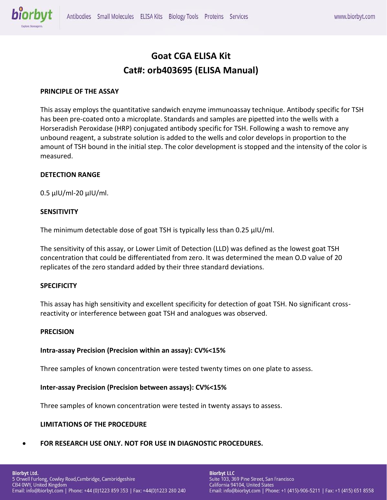

# **Goat CGA ELISA Kit Cat#: orb403695 (ELISA Manual)**

## **PRINCIPLE OF THE ASSAY**

This assay employs the quantitative sandwich enzyme immunoassay technique. Antibody specific for TSH has been pre-coated onto a microplate. Standards and samples are pipetted into the wells with a Horseradish Peroxidase (HRP) conjugated antibody specific for TSH. Following a wash to remove any unbound reagent, a substrate solution is added to the wells and color develops in proportion to the amount of TSH bound in the initial step. The color development is stopped and the intensity of the color is measured.

#### **DETECTION RANGE**

0.5 μIU/ml-20 μIU/ml.

#### **SENSITIVITY**

The minimum detectable dose of goat TSH is typically less than 0.25 μIU/ml.

The sensitivity of this assay, or Lower Limit of Detection (LLD) was defined as the lowest goat TSH concentration that could be differentiated from zero. It was determined the mean O.D value of 20 replicates of the zero standard added by their three standard deviations.

#### **SPECIFICITY**

This assay has high sensitivity and excellent specificity for detection of goat TSH. No significant crossreactivity or interference between goat TSH and analogues was observed.

#### **PRECISION**

#### **Intra-assay Precision (Precision within an assay): CV%<15%**

Three samples of known concentration were tested twenty times on one plate to assess.

## **Inter-assay Precision (Precision between assays): CV%<15%**

Three samples of known concentration were tested in twenty assays to assess.

#### **LIMITATIONS OF THE PROCEDURE**

• **FOR RESEARCH USE ONLY. NOT FOR USE IN DIAGNOSTIC PROCEDURES.**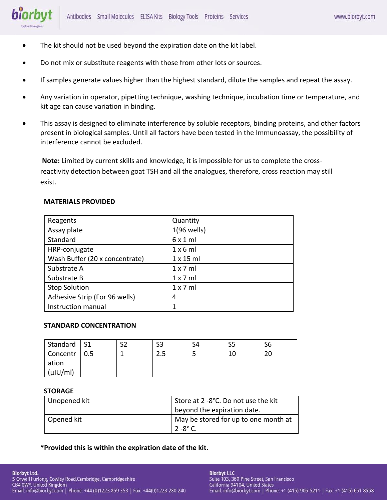- biorbyt
	- The kit should not be used beyond the expiration date on the kit label.
	- Do not mix or substitute reagents with those from other lots or sources.
	- If samples generate values higher than the highest standard, dilute the samples and repeat the assay.
	- Any variation in operator, pipetting technique, washing technique, incubation time or temperature, and kit age can cause variation in binding.
	- This assay is designed to eliminate interference by soluble receptors, binding proteins, and other factors present in biological samples. Until all factors have been tested in the Immunoassay, the possibility of interference cannot be excluded.

**Note:** Limited by current skills and knowledge, it is impossible for us to complete the crossreactivity detection between goat TSH and all the analogues, therefore, cross reaction may still exist.

# **MATERIALS PROVIDED**

| Reagents                       | Quantity         |
|--------------------------------|------------------|
| Assay plate                    | 1(96 wells)      |
| Standard                       | 6x1ml            |
| HRP-conjugate                  | 1x6ml            |
| Wash Buffer (20 x concentrate) | $1 \times 15$ ml |
| Substrate A                    | $1 \times 7$ ml  |
| Substrate B                    | 1 x 7 m          |
| <b>Stop Solution</b>           | 1 x 7 m          |
| Adhesive Strip (For 96 wells)  | 4                |
| Instruction manual             | 1                |

# **STANDARD CONCENTRATION**

| Standard   S1  |  | S <sub>3</sub> | S4 | S6 |
|----------------|--|----------------|----|----|
| Concentr   0.5 |  | ر . ے          |    | 20 |
| ation          |  |                |    |    |
| $(\mu$ IU/ml)  |  |                |    |    |

# **STORAGE**

| Unopened kit | Store at 2 -8°C. Do not use the kit  |
|--------------|--------------------------------------|
|              | beyond the expiration date.          |
| Opened kit   | May be stored for up to one month at |
|              | $2 - 8^{\circ}$ C.                   |

**\*Provided this is within the expiration date of the kit.**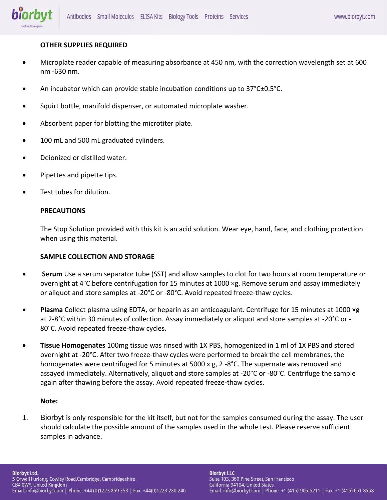

## **OTHER SUPPLIES REQUIRED**

- Microplate reader capable of measuring absorbance at 450 nm, with the correction wavelength set at 600 nm -630 nm.
- An incubator which can provide stable incubation conditions up to 37°C±0.5°C.
- Squirt bottle, manifold dispenser, or automated microplate washer.
- Absorbent paper for blotting the microtiter plate.
- 100 mL and 500 mL graduated cylinders.
- Deionized or distilled water.
- Pipettes and pipette tips.
- Test tubes for dilution.

#### **PRECAUTIONS**

The Stop Solution provided with this kit is an acid solution. Wear eye, hand, face, and clothing protection when using this material.

## **SAMPLE COLLECTION AND STORAGE**

- **Serum** Use a serum separator tube (SST) and allow samples to clot for two hours at room temperature or overnight at 4°C before centrifugation for 15 minutes at 1000 ×g. Remove serum and assay immediately or aliquot and store samples at -20°C or -80°C. Avoid repeated freeze-thaw cycles.
- **Plasma** Collect plasma using EDTA, or heparin as an anticoagulant. Centrifuge for 15 minutes at 1000 ×g at 2-8°C within 30 minutes of collection. Assay immediately or aliquot and store samples at -20°C or - 80°C. Avoid repeated freeze-thaw cycles.
- **Tissue Homogenates** 100mg tissue was rinsed with 1X PBS, homogenized in 1 ml of 1X PBS and stored overnight at -20°C. After two freeze-thaw cycles were performed to break the cell membranes, the homogenates were centrifuged for 5 minutes at 5000 x g, 2 -8°C. The supernate was removed and assayed immediately. Alternatively, aliquot and store samples at -20°C or -80°C. Centrifuge the sample again after thawing before the assay. Avoid repeated freeze-thaw cycles.

#### **Note:**

1. Biorbyt is only responsible for the kit itself, but not for the samples consumed during the assay. The user should calculate the possible amount of the samples used in the whole test. Please reserve sufficient samples in advance.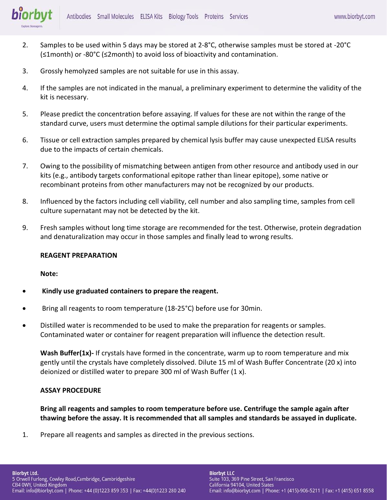

- 2. Samples to be used within 5 days may be stored at 2-8°C, otherwise samples must be stored at -20°C (≤1month) or -80°C (≤2month) to avoid loss of bioactivity and contamination.
- 3. Grossly hemolyzed samples are not suitable for use in this assay.
- 4. If the samples are not indicated in the manual, a preliminary experiment to determine the validity of the kit is necessary.
- 5. Please predict the concentration before assaying. If values for these are not within the range of the standard curve, users must determine the optimal sample dilutions for their particular experiments.
- 6. Tissue or cell extraction samples prepared by chemical lysis buffer may cause unexpected ELISA results due to the impacts of certain chemicals.
- 7. Owing to the possibility of mismatching between antigen from other resource and antibody used in our kits (e.g., antibody targets conformational epitope rather than linear epitope), some native or recombinant proteins from other manufacturers may not be recognized by our products.
- 8. Influenced by the factors including cell viability, cell number and also sampling time, samples from cell culture supernatant may not be detected by the kit.
- 9. Fresh samples without long time storage are recommended for the test. Otherwise, protein degradation and denaturalization may occur in those samples and finally lead to wrong results.

## **REAGENT PREPARATION**

## **Note:**

- **Kindly use graduated containers to prepare the reagent.**
- Bring all reagents to room temperature (18-25°C) before use for 30min.
- Distilled water is recommended to be used to make the preparation for reagents or samples. Contaminated water or container for reagent preparation will influence the detection result.

**Wash Buffer(1x)-** If crystals have formed in the concentrate, warm up to room temperature and mix gently until the crystals have completely dissolved. Dilute 15 ml of Wash Buffer Concentrate (20 x) into deionized or distilled water to prepare 300 ml of Wash Buffer (1 x).

## **ASSAY PROCEDURE**

**Bring all reagents and samples to room temperature before use. Centrifuge the sample again after thawing before the assay. It is recommended that all samples and standards be assayed in duplicate.** 

1. Prepare all reagents and samples as directed in the previous sections.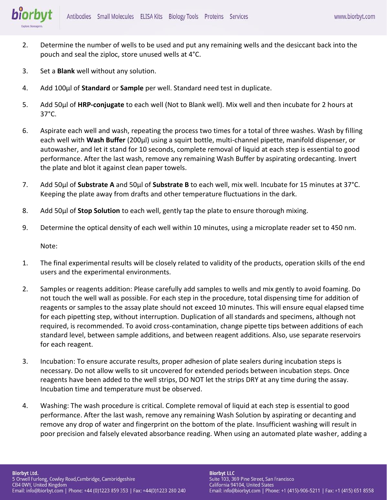

- 2. Determine the number of wells to be used and put any remaining wells and the desiccant back into the pouch and seal the ziploc, store unused wells at 4°C.
- 3. Set a **Blank** well without any solution.
- 4. Add 100μl of **Standard** or **Sample** per well. Standard need test in duplicate.
- 5. Add 50μl of **HRP-conjugate** to each well (Not to Blank well). Mix well and then incubate for 2 hours at 37°C.
- 6. Aspirate each well and wash, repeating the process two times for a total of three washes. Wash by filling each well with **Wash Buffer** (200μl) using a squirt bottle, multi-channel pipette, manifold dispenser, or autowasher, and let it stand for 10 seconds, complete removal of liquid at each step is essential to good performance. After the last wash, remove any remaining Wash Buffer by aspirating ordecanting. Invert the plate and blot it against clean paper towels.
- 7. Add 50μl of **Substrate A** and 50μl of **Substrate B** to each well, mix well. Incubate for 15 minutes at 37°C. Keeping the plate away from drafts and other temperature fluctuations in the dark.
- 8. Add 50μl of **Stop Solution** to each well, gently tap the plate to ensure thorough mixing.
- 9. Determine the optical density of each well within 10 minutes, using a microplate reader set to 450 nm.

Note:

- 1. The final experimental results will be closely related to validity of the products, operation skills of the end users and the experimental environments.
- 2. Samples or reagents addition: Please carefully add samples to wells and mix gently to avoid foaming. Do not touch the well wall as possible. For each step in the procedure, total dispensing time for addition of reagents or samples to the assay plate should not exceed 10 minutes. This will ensure equal elapsed time for each pipetting step, without interruption. Duplication of all standards and specimens, although not required, is recommended. To avoid cross-contamination, change pipette tips between additions of each standard level, between sample additions, and between reagent additions. Also, use separate reservoirs for each reagent.
- 3. Incubation: To ensure accurate results, proper adhesion of plate sealers during incubation steps is necessary. Do not allow wells to sit uncovered for extended periods between incubation steps. Once reagents have been added to the well strips, DO NOT let the strips DRY at any time during the assay. Incubation time and temperature must be observed.
- 4. Washing: The wash procedure is critical. Complete removal of liquid at each step is essential to good performance. After the last wash, remove any remaining Wash Solution by aspirating or decanting and remove any drop of water and fingerprint on the bottom of the plate. Insufficient washing will result in poor precision and falsely elevated absorbance reading. When using an automated plate washer, adding a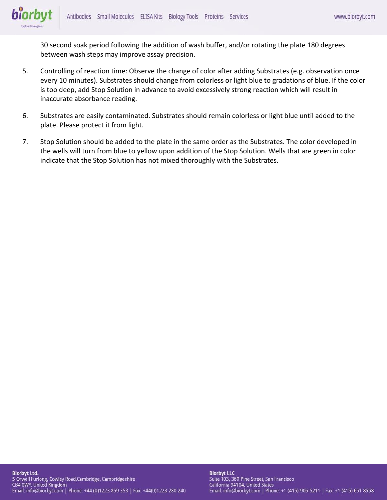biorbyt

30 second soak period following the addition of wash buffer, and/or rotating the plate 180 degrees between wash steps may improve assay precision.

- 5. Controlling of reaction time: Observe the change of color after adding Substrates (e.g. observation once every 10 minutes). Substrates should change from colorless or light blue to gradations of blue. If the color is too deep, add Stop Solution in advance to avoid excessively strong reaction which will result in inaccurate absorbance reading.
- 6. Substrates are easily contaminated. Substrates should remain colorless or light blue until added to the plate. Please protect it from light.
- 7. Stop Solution should be added to the plate in the same order as the Substrates. The color developed in the wells will turn from blue to yellow upon addition of the Stop Solution. Wells that are green in color indicate that the Stop Solution has not mixed thoroughly with the Substrates.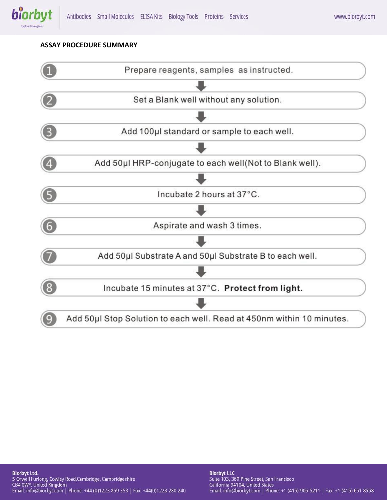

## **ASSAY PROCEDURE SUMMARY**



**Biorbyt Ltd.** 5 Orwell Furlong, Cowley Road, Cambridge, Cambridgeshire<br>CB4 0WY, United Kingdom Email: info@biorbyt.com | Phone: +44 (0)1223 859 353 | Fax: +44(0)1223 280 240